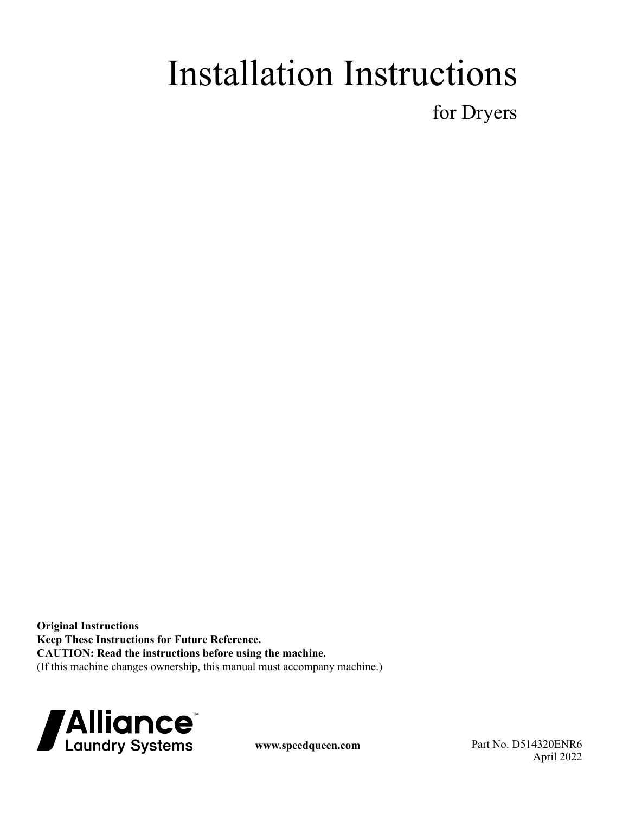# Installation Instructions

for Dryers

**Original Instructions Keep These Instructions for Future Reference. CAUTION: Read the instructions before using the machine.** (If this machine changes ownership, this manual must accompany machine.)



**www.speedqueen.com** Part No. D514320ENR6 April 2022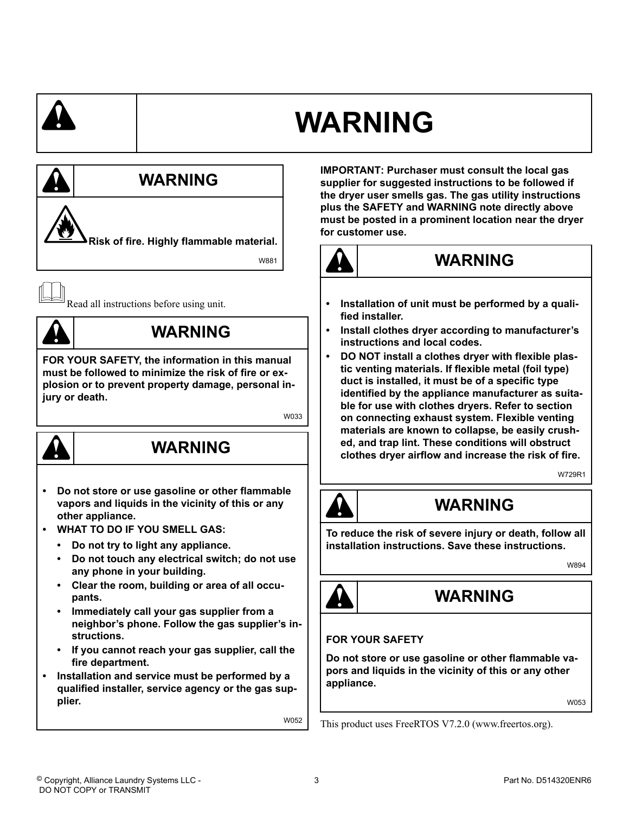# **WARNING**



- **Clear the room, building or area of all occupants.**
- **Immediately call your gas supplier from a neighbor's phone. Follow the gas supplier's instructions.**
- **If you cannot reach your gas supplier, call the fire department.**
- **Installation and service must be performed by a qualified installer, service agency or the gas supplier.**

W052

**IMPORTANT: Purchaser must consult the local gas supplier for suggested instructions to be followed if the dryer user smells gas. The gas utility instructions plus the SAFETY and WARNING note directly above must be posted in a prominent location near the dryer for customer use.**



### **WARNING**

- **Installation of unit must be performed by a qualified installer.**
- **Install clothes dryer according to manufacturer's instructions and local codes.**
- **DO NOT install a clothes dryer with flexible plastic venting materials. If flexible metal (foil type) duct is installed, it must be of a specific type identified by the appliance manufacturer as suitable for use with clothes dryers. Refer to section on connecting exhaust system. Flexible venting materials are known to collapse, be easily crushed, and trap lint. These conditions will obstruct clothes dryer airflow and increase the risk of fire.**

W729R1



### **WARNING**

**To reduce the risk of severe injury or death, follow all installation instructions. Save these instructions.**

W894



### **WARNING**

### **FOR YOUR SAFETY**

**Do not store or use gasoline or other flammable vapors and liquids in the vicinity of this or any other appliance.**

W053

This product uses FreeRTOS V7.2.0 (www.freertos.org).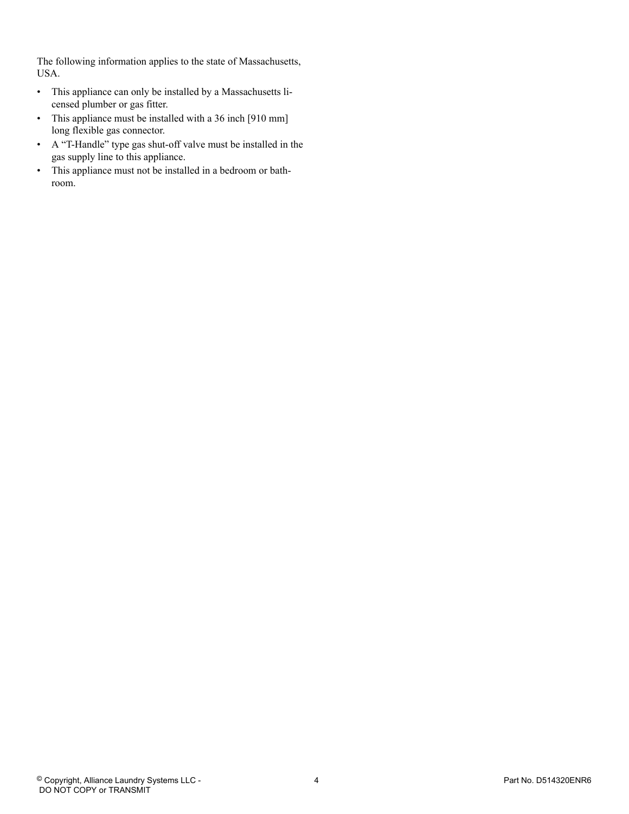The following information applies to the state of Massachusetts, USA.

- This appliance can only be installed by a Massachusetts licensed plumber or gas fitter.
- This appliance must be installed with a 36 inch [910 mm] long flexible gas connector.
- A "T-Handle" type gas shut-off valve must be installed in the gas supply line to this appliance.
- This appliance must not be installed in a bedroom or bathroom.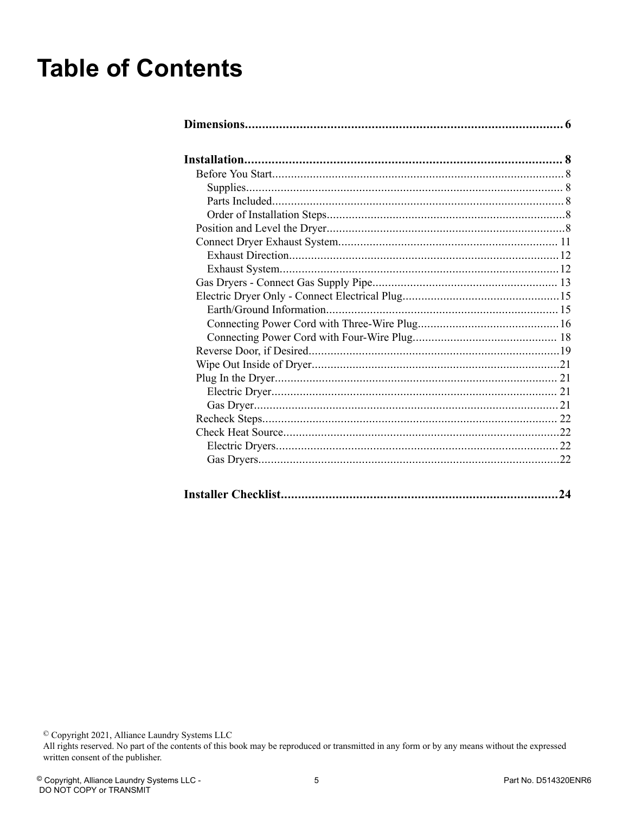## **Table of Contents**

|--|--|

<sup>©</sup> Copyright 2021, Alliance Laundry Systems LLC<br>All rights reserved. No part of the contents of this book may be reproduced or transmitted in any form or by any means without the expressed written consent of the publisher.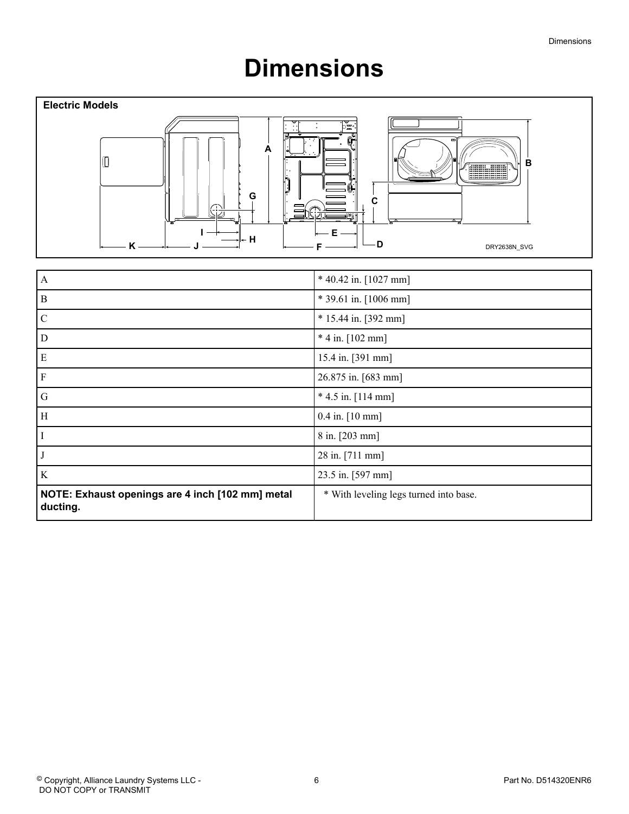## **Dimensions**

<span id="page-5-0"></span>

| A                                                            | * 40.42 in. [1027 mm]                  |
|--------------------------------------------------------------|----------------------------------------|
| $\mathbf{B}$                                                 | * 39.61 in. [1006 mm]                  |
| $\mathcal{C}$                                                | $* 15.44$ in. [392 mm]                 |
| D                                                            | $*$ 4 in. [102 mm]                     |
| E                                                            | 15.4 in. [391 mm]                      |
| $\mathbf F$                                                  | 26.875 in. [683 mm]                    |
| G                                                            | $*$ 4.5 in. [114 mm]                   |
| H                                                            | $0.4$ in. $[10$ mm]                    |
| H                                                            | 8 in. [203 mm]                         |
|                                                              | 28 in. [711 mm]                        |
| $\rm K$                                                      | 23.5 in. [597 mm]                      |
| NOTE: Exhaust openings are 4 inch [102 mm] metal<br>ducting. | * With leveling legs turned into base. |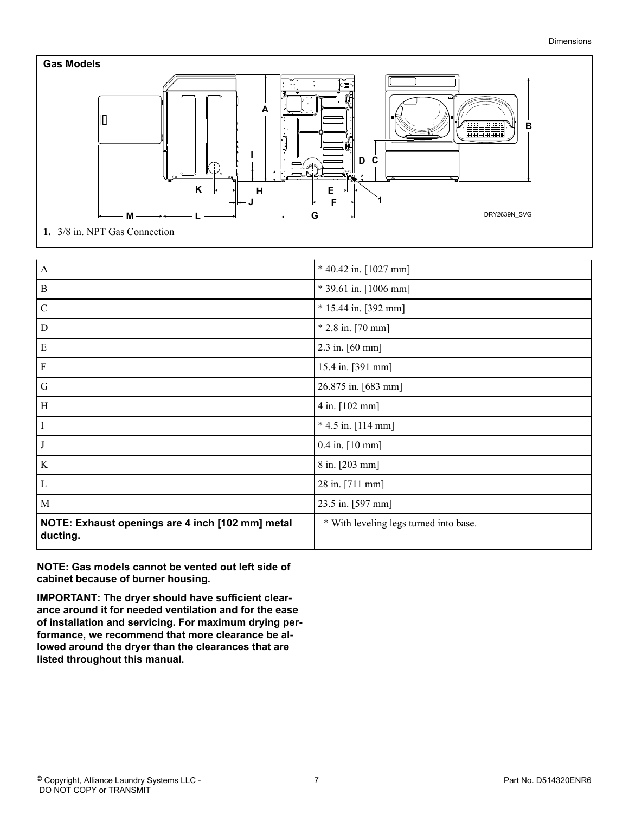

| $\mathbf{A}$                                                 | * 40.42 in. [1027 mm]                  |
|--------------------------------------------------------------|----------------------------------------|
| $\vert B$                                                    | * 39.61 in. [1006 mm]                  |
| $\overline{C}$                                               | * 15.44 in. [392 mm]                   |
| $\overline{D}$                                               | $* 2.8$ in. [70 mm]                    |
| E                                                            | 2.3 in. $[60 \text{ mm}]$              |
| F                                                            | 15.4 in. [391 mm]                      |
| G                                                            | 26.875 in. [683 mm]                    |
| $\vert$ H                                                    | 4 in. [102 mm]                         |
|                                                              | $*$ 4.5 in. [114 mm]                   |
|                                                              | 0.4 in. [10 mm]                        |
| $\rm K$                                                      | 8 in. [203 mm]                         |
| L                                                            | 28 in. [711 mm]                        |
| M                                                            | 23.5 in. [597 mm]                      |
| NOTE: Exhaust openings are 4 inch [102 mm] metal<br>ducting. | * With leveling legs turned into base. |

**NOTE: Gas models cannot be vented out left side of cabinet because of burner housing.**

**IMPORTANT: The dryer should have sufficient clearance around it for needed ventilation and for the ease of installation and servicing. For maximum drying performance, we recommend that more clearance be allowed around the dryer than the clearances that are listed throughout this manual.**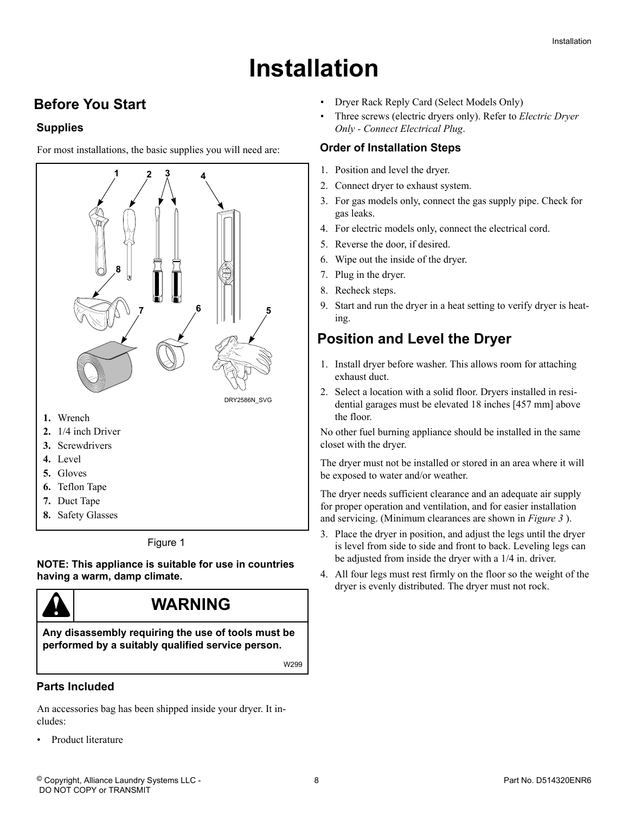## **Installation**

### <span id="page-7-0"></span> **Before You Start**

#### **Supplies**

For most installations, the basic supplies you will need are:



Figure 1

**NOTE: This appliance is suitable for use in countries having a warm, damp climate.**



W299

#### **Parts Included**

An accessories bag has been shipped inside your dryer. It includes:

• Product literature

- Dryer Rack Reply Card (Select Models Only)
- Three screws (electric dryers only). Refer to *[Electric Dryer](#page-14-0) [Only - Connect Electrical Plug](#page-14-0)*.

#### **Order of Installation Steps**

- 1. Position and level the dryer.
- 2. Connect dryer to exhaust system.
- 3. For gas models only, connect the gas supply pipe. Check for gas leaks.
- 4. For electric models only, connect the electrical cord.
- 5. Reverse the door, if desired.
- 6. Wipe out the inside of the dryer.
- 7. Plug in the dryer.
- 8. Recheck steps.
- 9. Start and run the dryer in a heat setting to verify dryer is heating.

### **Position and Level the Dryer**

- 1. Install dryer before washer. This allows room for attaching exhaust duct.
- 2. Select a location with a solid floor. Dryers installed in residential garages must be elevated 18 inches [457 mm] above the floor.

No other fuel burning appliance should be installed in the same closet with the dryer.

The dryer must not be installed or stored in an area where it will be exposed to water and/or weather.

The dryer needs sufficient clearance and an adequate air supply for proper operation and ventilation, and for easier installation and servicing. (Minimum clearances are shown in *[Figure 3](#page-9-0)* ).

- 3. Place the dryer in position, and adjust the legs until the dryer is level from side to side and front to back. Leveling legs can be adjusted from inside the dryer with a 1/4 in. driver.
- 4. All four legs must rest firmly on the floor so the weight of the dryer is evenly distributed. The dryer must not rock.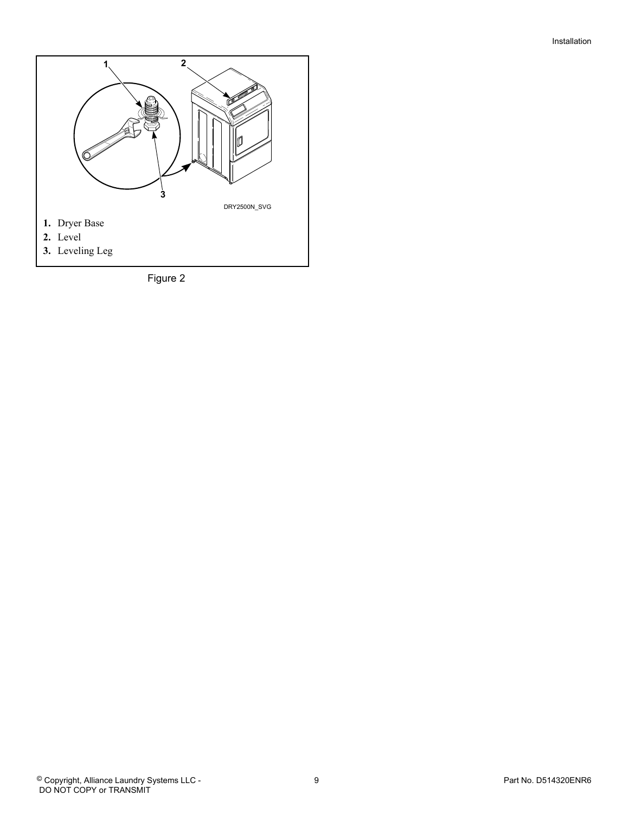

Figure 2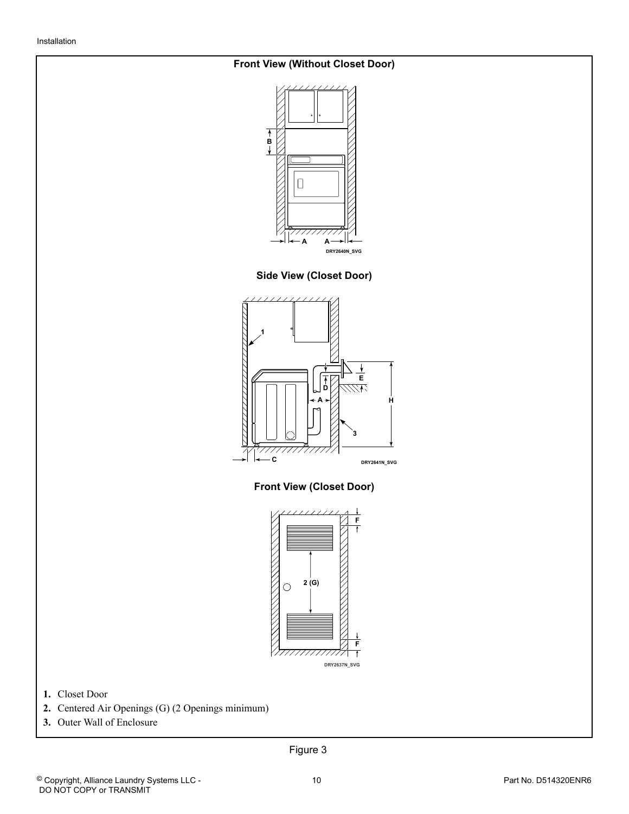#### <span id="page-9-0"></span>**Front View (Without Closet Door)**



**Side View (Closet Door)**



**Front View (Closet Door)**



**1.** Closet Door

- **2.** Centered Air Openings (G) (2 Openings minimum)
- **3.** Outer Wall of Enclosure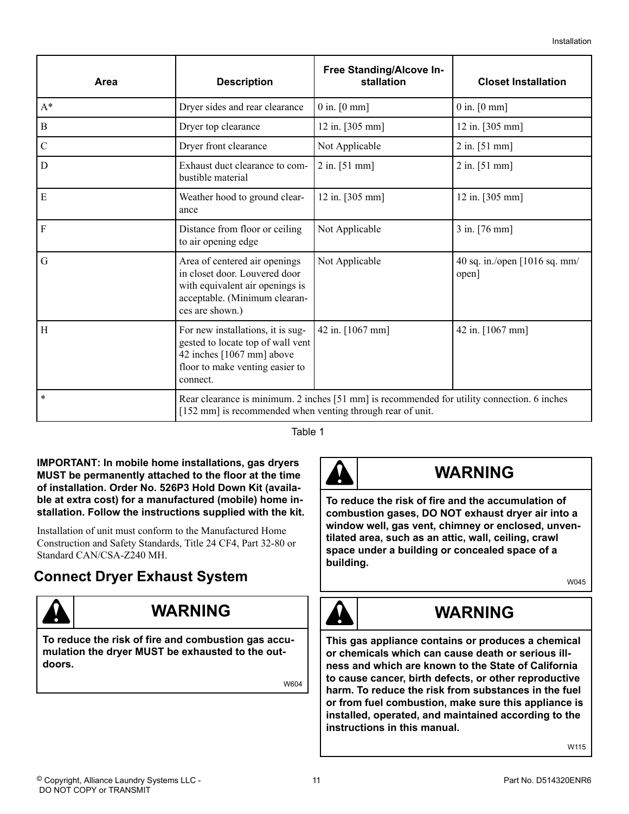<span id="page-10-0"></span>

| Area           | <b>Description</b>                                                                                                                                        | Free Standing/Alcove In-<br>stallation | <b>Closet Installation</b>             |  |
|----------------|-----------------------------------------------------------------------------------------------------------------------------------------------------------|----------------------------------------|----------------------------------------|--|
| $A^*$          | Dryer sides and rear clearance                                                                                                                            | $0$ in. $[0$ mm]                       | $0$ in. $[0$ mm]                       |  |
| B              | Dryer top clearance                                                                                                                                       | 12 in. [305 mm]                        | $12$ in. [305 mm]                      |  |
| $\mathbf C$    | Dryer front clearance                                                                                                                                     | Not Applicable                         | $2$ in. [51 mm]                        |  |
| $\overline{D}$ | Exhaust duct clearance to com-<br>bustible material                                                                                                       | $2$ in. [51 mm]                        | $2$ in. [51 mm]                        |  |
| E              | Weather hood to ground clear-<br>ance                                                                                                                     | 12 in. [305 mm]                        | 12 in. [305 mm]                        |  |
| $\vert$ F      | Distance from floor or ceiling<br>to air opening edge                                                                                                     | Not Applicable                         | 3 in. [76 mm]                          |  |
| $\overline{G}$ | Area of centered air openings<br>in closet door. Louvered door<br>with equivalent air openings is<br>acceptable. (Minimum clearan-<br>ces are shown.)     | Not Applicable                         | 40 sq. in./open [1016 sq. mm/<br>open] |  |
| H              | For new installations, it is sug-<br>gested to locate top of wall vent<br>42 inches [1067 mm] above<br>floor to make venting easier to<br>connect.        | 42 in. [1067 mm]                       | 42 in. [1067 mm]                       |  |
| $\ast$         | Rear clearance is minimum. 2 inches [51 mm] is recommended for utility connection. 6 inches<br>[152 mm] is recommended when venting through rear of unit. |                                        |                                        |  |

Table 1

**IMPORTANT: In mobile home installations, gas dryers MUST be permanently attached to the floor at the time of installation. Order No. 526P3 Hold Down Kit (available at extra cost) for a manufactured (mobile) home installation. Follow the instructions supplied with the kit.**

Installation of unit must conform to the Manufactured Home Construction and Safety Standards, Title 24 CF4, Part 32-80 or Standard CAN/CSA-Z240 MH.

### **Connect Dryer Exhaust System**



### **WARNING**

**To reduce the risk of fire and combustion gas accumulation the dryer MUST be exhausted to the outdoors.**

W604



### **WARNING**

**To reduce the risk of fire and the accumulation of combustion gases, DO NOT exhaust dryer air into a window well, gas vent, chimney or enclosed, unventilated area, such as an attic, wall, ceiling, crawl space under a building or concealed space of a building.**

W045



### **WARNING**

**This gas appliance contains or produces a chemical or chemicals which can cause death or serious illness and which are known to the State of California to cause cancer, birth defects, or other reproductive harm. To reduce the risk from substances in the fuel or from fuel combustion, make sure this appliance is installed, operated, and maintained according to the instructions in this manual.**

W115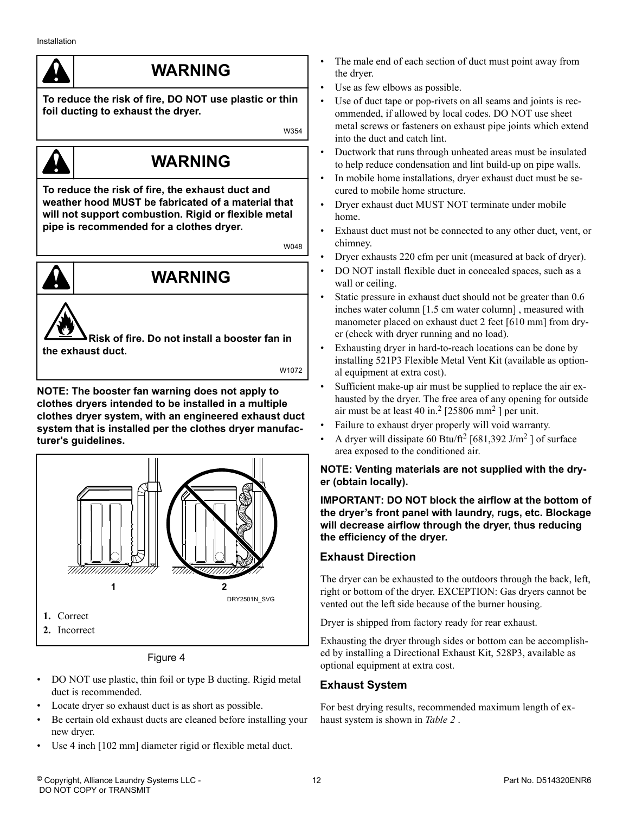### **WARNING**

<span id="page-11-0"></span>**To reduce the risk of fire, DO NOT use plastic or thin foil ducting to exhaust the dryer.**

W354

## **WARNING**

**To reduce the risk of fire, the exhaust duct and weather hood MUST be fabricated of a material that will not support combustion. Rigid or flexible metal pipe is recommended for a clothes dryer.**

W048

## **WARNING**

**Risk of fire. Do not install a booster fan in the exhaust duct.**

W1072

**NOTE: The booster fan warning does not apply to clothes dryers intended to be installed in a multiple clothes dryer system, with an engineered exhaust duct system that is installed per the clothes dryer manufacturer's guidelines.**



Figure 4

- DO NOT use plastic, thin foil or type B ducting. Rigid metal duct is recommended.
- Locate dryer so exhaust duct is as short as possible.
- Be certain old exhaust ducts are cleaned before installing your new dryer.
- Use 4 inch [102 mm] diameter rigid or flexible metal duct.
- The male end of each section of duct must point away from the dryer.
- Use as few elbows as possible.
- Use of duct tape or pop-rivets on all seams and joints is recommended, if allowed by local codes. DO NOT use sheet metal screws or fasteners on exhaust pipe joints which extend into the duct and catch lint.
- Ductwork that runs through unheated areas must be insulated to help reduce condensation and lint build-up on pipe walls.
- In mobile home installations, dryer exhaust duct must be secured to mobile home structure.
- Dryer exhaust duct MUST NOT terminate under mobile home.
- Exhaust duct must not be connected to any other duct, vent, or chimney.
- Dryer exhausts 220 cfm per unit (measured at back of dryer).
- DO NOT install flexible duct in concealed spaces, such as a wall or ceiling.
- Static pressure in exhaust duct should not be greater than 0.6 inches water column [1.5 cm water column] , measured with manometer placed on exhaust duct 2 feet [610 mm] from dryer (check with dryer running and no load).
- Exhausting dryer in hard-to-reach locations can be done by installing 521P3 Flexible Metal Vent Kit (available as optional equipment at extra cost).
- Sufficient make-up air must be supplied to replace the air exhausted by the dryer. The free area of any opening for outside air must be at least 40 in.<sup>2</sup> [25806 mm<sup>2</sup>] per unit.
- Failure to exhaust dryer properly will void warranty.
- A dryer will dissipate 60 Btu/ft<sup>2</sup> [681,392 J/m<sup>2</sup>] of surface area exposed to the conditioned air.

#### **NOTE: Venting materials are not supplied with the dryer (obtain locally).**

**IMPORTANT: DO NOT block the airflow at the bottom of the dryer's front panel with laundry, rugs, etc. Blockage will decrease airflow through the dryer, thus reducing the efficiency of the dryer.**

### **Exhaust Direction**

The dryer can be exhausted to the outdoors through the back, left, right or bottom of the dryer. EXCEPTION: Gas dryers cannot be vented out the left side because of the burner housing.

Dryer is shipped from factory ready for rear exhaust.

Exhausting the dryer through sides or bottom can be accomplished by installing a Directional Exhaust Kit, 528P3, available as optional equipment at extra cost.

### **Exhaust System**

For best drying results, recommended maximum length of exhaust system is shown in *[Table 2](#page-12-0)* .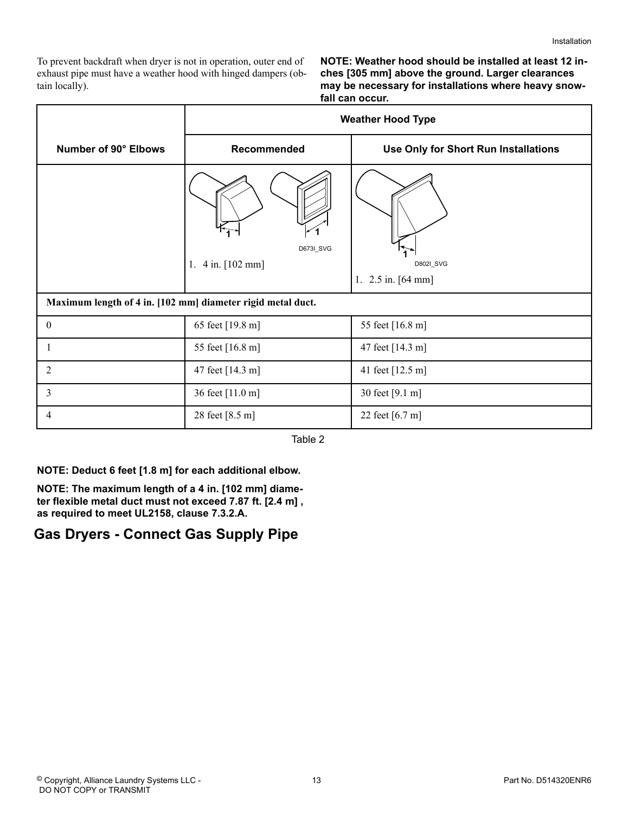<span id="page-12-0"></span>To prevent backdraft when dryer is not in operation, outer end of exhaust pipe must have a weather hood with hinged dampers (obtain locally).

**NOTE: Weather hood should be installed at least 12 inches [305 mm] above the ground. Larger clearances may be necessary for installations where heavy snowfall can occur.**

|                                                             | <b>Weather Hood Type</b>              |                                      |  |
|-------------------------------------------------------------|---------------------------------------|--------------------------------------|--|
| Number of 90° Elbows                                        | Recommended                           | Use Only for Short Run Installations |  |
|                                                             | D673I_SVG<br>$4$ in. $[102$ mm]<br>1. | D802I_SVG<br>1. $2.5$ in. $[64$ mm]  |  |
| Maximum length of 4 in. [102 mm] diameter rigid metal duct. |                                       |                                      |  |
| $\mathbf{0}$                                                | 65 feet [19.8 m]                      | 55 feet [16.8 m]                     |  |
| 1                                                           | 55 feet [16.8 m]                      | 47 feet [14.3 m]                     |  |
| $\overline{2}$                                              | 47 feet [14.3 m]                      | 41 feet [12.5 m]                     |  |
| 3                                                           | 36 feet [11.0 m]                      | 30 feet [9.1 m]                      |  |
| 4                                                           | 28 feet [8.5 m]                       | 22 feet [6.7 m]                      |  |

Table 2

**NOTE: Deduct 6 feet [1.8 m] for each additional elbow.**

**NOTE: The maximum length of a 4 in. [102 mm] diameter flexible metal duct must not exceed 7.87 ft. [2.4 m] , as required to meet UL2158, clause 7.3.2.A.**

### **Gas Dryers - Connect Gas Supply Pipe**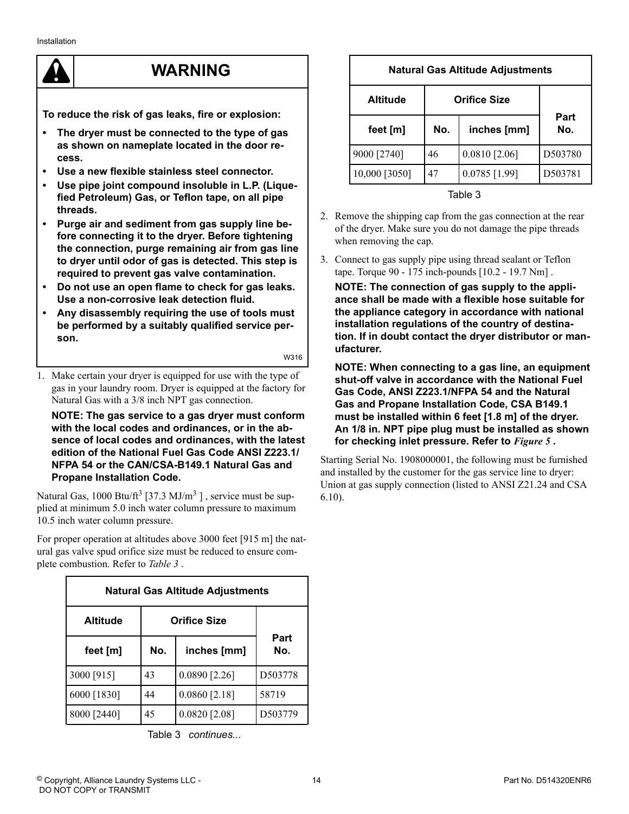### **WARNING**

**To reduce the risk of gas leaks, fire or explosion:**

- **The dryer must be connected to the type of gas as shown on nameplate located in the door recess.**
- **Use a new flexible stainless steel connector.**
- Use pipe joint compound insoluble in L.P. (Lique**fied Petroleum) Gas, or Teflon tape, on all pipe threads.**
- **Purge air and sediment from gas supply line before connecting it to the dryer. Before tightening the connection, purge remaining air from gas line to dryer until odor of gas is detected. This step is required to prevent gas valve contamination.**
- **Do not use an open flame to check for gas leaks. Use a non-corrosive leak detection fluid.**
- **Any disassembly requiring the use of tools must be performed by a suitably qualified service person.**

W316

1. Make certain your dryer is equipped for use with the type of gas in your laundry room. Dryer is equipped at the factory for Natural Gas with a 3/8 inch NPT gas connection.

**NOTE: The gas service to a gas dryer must conform with the local codes and ordinances, or in the absence of local codes and ordinances, with the latest edition of the National Fuel Gas Code ANSI Z223.1/ NFPA 54 or the CAN/CSA-B149.1 Natural Gas and Propane Installation Code.**

Natural Gas,  $1000 \text{ Btu/ft}^3$  [37.3 MJ/m<sup>3</sup>], service must be supplied at minimum 5.0 inch water column pressure to maximum 10.5 inch water column pressure.

For proper operation at altitudes above 3000 feet [915 m] the natural gas valve spud orifice size must be reduced to ensure complete combustion. Refer to *Table 3* .

| <b>Natural Gas Altitude Adjustments</b> |                    |                 |             |
|-----------------------------------------|--------------------|-----------------|-------------|
| <b>Orifice Size</b><br><b>Altitude</b>  |                    |                 |             |
| feet [m]                                | No.<br>inches [mm] |                 | Part<br>No. |
| 3000 [915]                              | 43                 | $0.0890$ [2.26] | D503778     |
| 6000 [1830]                             | 44                 | $0.0860$ [2.18] | 58719       |
| 8000 [2440]                             | 45                 | $0.0820$ [2.08] | D503779     |

Table 3  *continues...*

### **Natural Gas Altitude Adjustments Altitude Orifice Size Part feet [m] No. inches [mm] No.** 9000 [2740]  $\begin{array}{|c|c|c|c|c|c|} \hline 46 & 0.0810 & 0.0810 & 0.061 & 0.0503780 \hline \end{array}$ 10,000 [3050] 47 0.0785 [1.99] D503781

Table 3

- 2. Remove the shipping cap from the gas connection at the rear of the dryer. Make sure you do not damage the pipe threads when removing the cap.
- 3. Connect to gas supply pipe using thread sealant or Teflon tape. Torque 90 - 175 inch-pounds [10.2 - 19.7 Nm] .

**NOTE: The connection of gas supply to the appliance shall be made with a flexible hose suitable for the appliance category in accordance with national installation regulations of the country of destination. If in doubt contact the dryer distributor or manufacturer.**

**NOTE: When connecting to a gas line, an equipment shut-off valve in accordance with the National Fuel Gas Code, ANSI Z223.1/NFPA 54 and the Natural Gas and Propane Installation Code, CSA B149.1 must be installed within 6 feet [1.8 m] of the dryer. An 1/8 in. NPT pipe plug must be installed as shown for checking inlet pressure. Refer to** *[Figure 5](#page-14-0)* **.**

Starting Serial No. 1908000001, the following must be furnished and installed by the customer for the gas service line to dryer: Union at gas supply connection (listed to ANSI Z21.24 and CSA 6.10).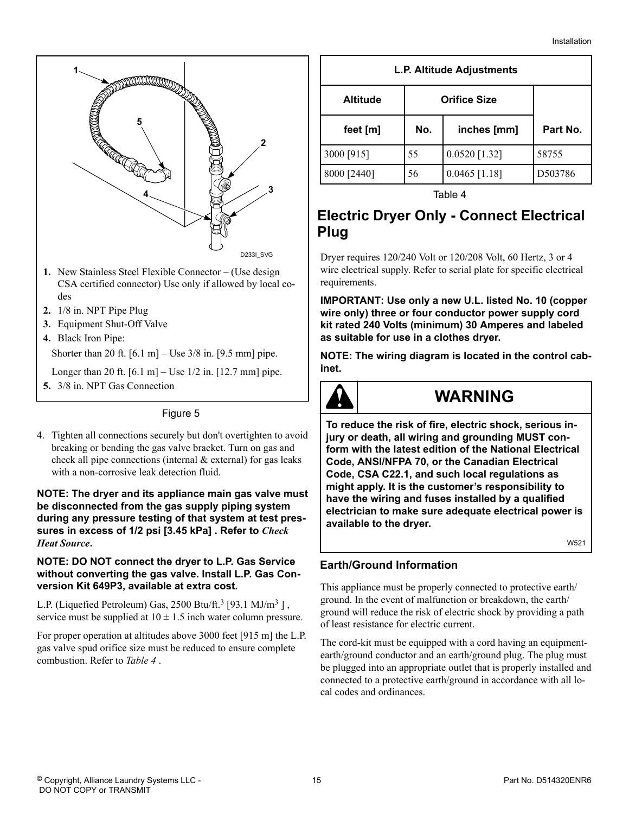<span id="page-14-0"></span>

- **1.** New Stainless Steel Flexible Connector (Use design CSA certified connector) Use only if allowed by local codes
- **2.** 1/8 in. NPT Pipe Plug
- **3.** Equipment Shut-Off Valve
- **4.** Black Iron Pipe:

Shorter than 20 ft.  $[6.1 \text{ m}]$  – Use 3/8 in.  $[9.5 \text{ mm}]$  pipe.

- Longer than 20 ft.  $[6.1 \text{ m}]$  Use 1/2 in.  $[12.7 \text{ mm}]$  pipe.
- **5.** 3/8 in. NPT Gas Connection

#### Figure 5

4. Tighten all connections securely but don't overtighten to avoid breaking or bending the gas valve bracket. Turn on gas and check all pipe connections (internal & external) for gas leaks with a non-corrosive leak detection fluid.

#### **NOTE: The dryer and its appliance main gas valve must be disconnected from the gas supply piping system during any pressure testing of that system at test pressures in excess of 1/2 psi [3.45 kPa] . Refer to** *[Check](#page-21-0) [Heat Source](#page-21-0)***.**

#### **NOTE: DO NOT connect the dryer to L.P. Gas Service without converting the gas valve. Install L.P. Gas Conversion Kit 649P3, available at extra cost.**

L.P. (Liquefied Petroleum) Gas,  $2500 \text{ Btu/ft.}^3$  [93.1 MJ/m<sup>3</sup>], service must be supplied at  $10 \pm 1.5$  inch water column pressure.

For proper operation at altitudes above 3000 feet [915 m] the L.P. gas valve spud orifice size must be reduced to ensure complete combustion. Refer to *Table 4* .

| L.P. Altitude Adjustments |
|---------------------------|
|---------------------------|

| <b>Altitude</b> | <b>Orifice Size</b> |                 |          |
|-----------------|---------------------|-----------------|----------|
| feet [m]        | No.                 | inches [mm]     | Part No. |
| 3000 [915]      | 55                  | $0.0520$ [1.32] | 58755    |
| 8000 [2440]     | 56                  | $0.0465$ [1.18] | D503786  |

Table 4

### **Electric Dryer Only - Connect Electrical Plug**

Dryer requires 120/240 Volt or 120/208 Volt, 60 Hertz, 3 or 4 wire electrical supply. Refer to serial plate for specific electrical requirements.

**IMPORTANT: Use only a new U.L. listed No. 10 (copper wire only) three or four conductor power supply cord kit rated 240 Volts (minimum) 30 Amperes and labeled as suitable for use in a clothes dryer.**

**NOTE: The wiring diagram is located in the control cabinet.**



### **WARNING**

**To reduce the risk of fire, electric shock, serious injury or death, all wiring and grounding MUST conform with the latest edition of the National Electrical Code, ANSI/NFPA 70, or the Canadian Electrical Code, CSA C22.1, and such local regulations as might apply. It is the customer's responsibility to have the wiring and fuses installed by a qualified electrician to make sure adequate electrical power is available to the dryer.**

W521

#### **Earth/Ground Information**

This appliance must be properly connected to protective earth/ ground. In the event of malfunction or breakdown, the earth/ ground will reduce the risk of electric shock by providing a path of least resistance for electric current.

The cord-kit must be equipped with a cord having an equipmentearth/ground conductor and an earth/ground plug. The plug must be plugged into an appropriate outlet that is properly installed and connected to a protective earth/ground in accordance with all local codes and ordinances.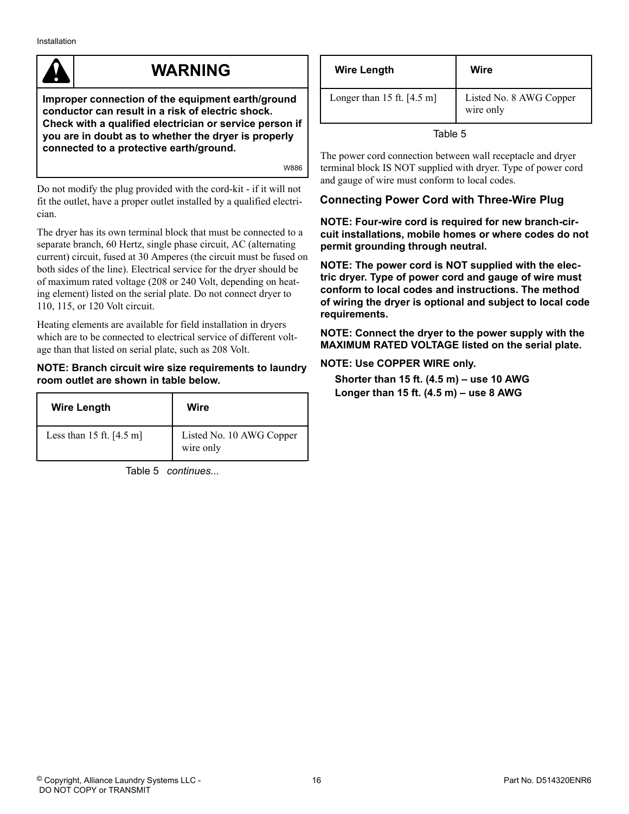### **WARNING**

<span id="page-15-0"></span>**Improper connection of the equipment earth/ground conductor can result in a risk of electric shock. Check with a qualified electrician or service person if you are in doubt as to whether the dryer is properly connected to a protective earth/ground.**

W886

Do not modify the plug provided with the cord-kit - if it will not fit the outlet, have a proper outlet installed by a qualified electrician.

The dryer has its own terminal block that must be connected to a separate branch, 60 Hertz, single phase circuit, AC (alternating current) circuit, fused at 30 Amperes (the circuit must be fused on both sides of the line). Electrical service for the dryer should be of maximum rated voltage (208 or 240 Volt, depending on heating element) listed on the serial plate. Do not connect dryer to 110, 115, or 120 Volt circuit.

Heating elements are available for field installation in dryers which are to be connected to electrical service of different voltage than that listed on serial plate, such as 208 Volt.

#### **NOTE: Branch circuit wire size requirements to laundry room outlet are shown in table below.**

| <b>Wire Length</b>                 | Wire                                  |
|------------------------------------|---------------------------------------|
| Less than 15 ft. $[4.5 \text{ m}]$ | Listed No. 10 AWG Copper<br>wire only |

Table 5  *continues...*

| <b>Wire Length</b>             | Wire                                 |
|--------------------------------|--------------------------------------|
| Longer than $15$ ft. $[4.5$ m] | Listed No. 8 AWG Copper<br>wire only |

Table 5

The power cord connection between wall receptacle and dryer terminal block IS NOT supplied with dryer. Type of power cord and gauge of wire must conform to local codes.

#### **Connecting Power Cord with Three-Wire Plug**

**NOTE: Four-wire cord is required for new branch-circuit installations, mobile homes or where codes do not permit grounding through neutral.**

**NOTE: The power cord is NOT supplied with the electric dryer. Type of power cord and gauge of wire must conform to local codes and instructions. The method of wiring the dryer is optional and subject to local code requirements.**

**NOTE: Connect the dryer to the power supply with the MAXIMUM RATED VOLTAGE listed on the serial plate.**

#### **NOTE: Use COPPER WIRE only.**

**Shorter than 15 ft. (4.5 m) – use 10 AWG Longer than 15 ft. (4.5 m) – use 8 AWG**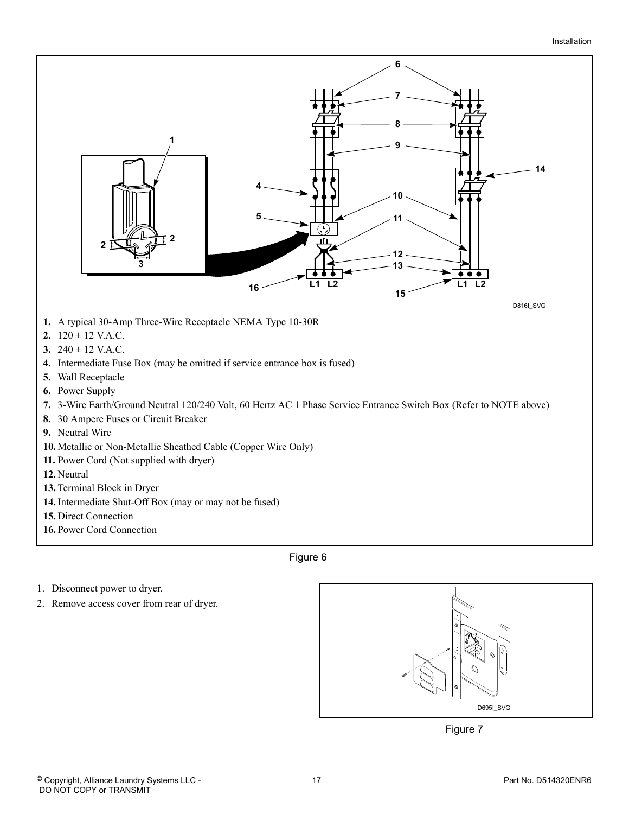

Figure 6

- 1. Disconnect power to dryer.
- 2. Remove access cover from rear of dryer.



Figure 7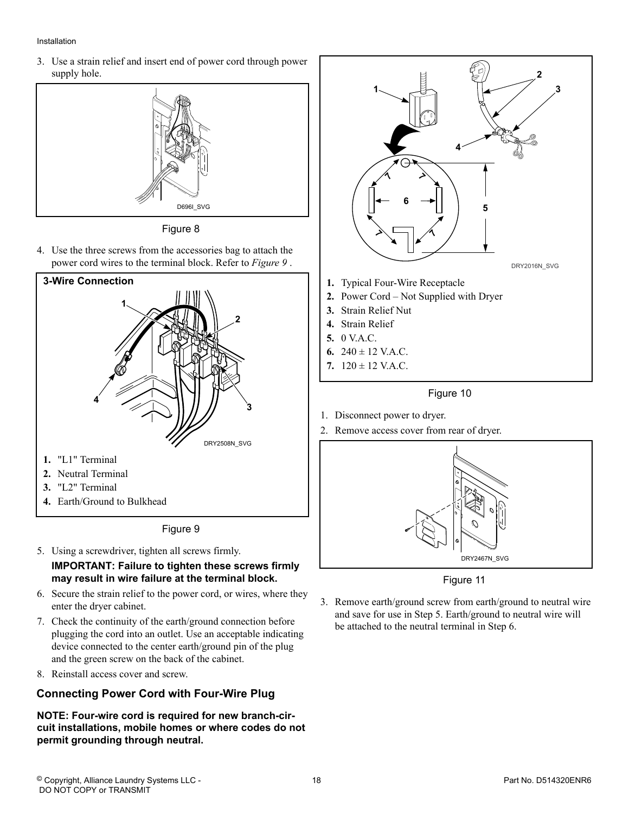#### <span id="page-17-0"></span>Installation

3. Use a strain relief and insert end of power cord through power supply hole.



Figure 8

4. Use the three screws from the accessories bag to attach the power cord wires to the terminal block. Refer to *Figure 9* .



Figure 9

- 5. Using a screwdriver, tighten all screws firmly. **IMPORTANT: Failure to tighten these screws firmly may result in wire failure at the terminal block.**
- 6. Secure the strain relief to the power cord, or wires, where they enter the dryer cabinet.
- 7. Check the continuity of the earth/ground connection before plugging the cord into an outlet. Use an acceptable indicating device connected to the center earth/ground pin of the plug and the green screw on the back of the cabinet.
- 8. Reinstall access cover and screw.

#### **Connecting Power Cord with Four-Wire Plug**

**NOTE: Four-wire cord is required for new branch-circuit installations, mobile homes or where codes do not permit grounding through neutral.**



- 
- **6.**  $240 \pm 12$  V.A.C.
- **7.** 120 ± 12 V.A.C.



- 1. Disconnect power to dryer.
- 2. Remove access cover from rear of dryer.



Figure 11

3. Remove earth/ground screw from earth/ground to neutral wire and save for use in Step 5. Earth/ground to neutral wire will be attached to the neutral terminal in Step 6.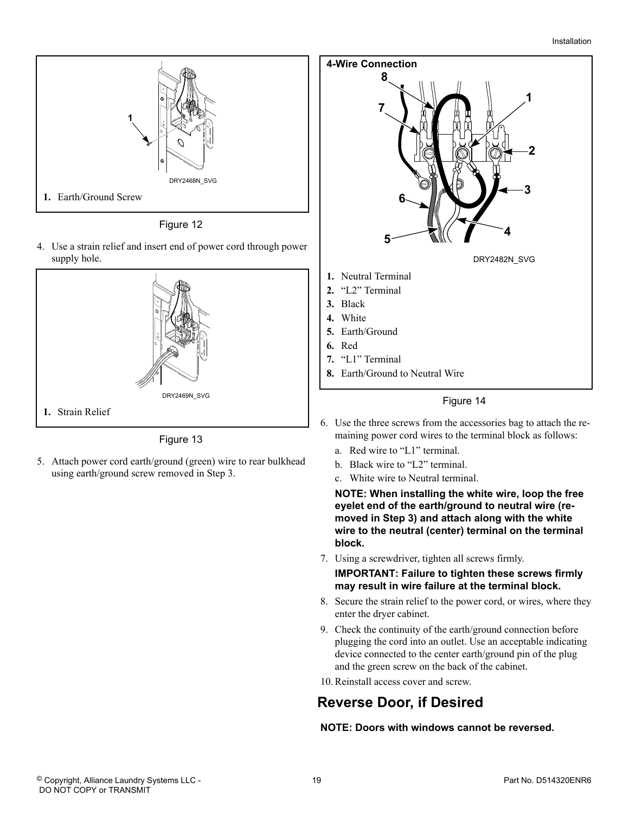<span id="page-18-0"></span>

Figure 12

4. Use a strain relief and insert end of power cord through power supply hole.



Figure 13

5. Attach power cord earth/ground (green) wire to rear bulkhead using earth/ground screw removed in Step 3.



#### Figure 14

- 6. Use the three screws from the accessories bag to attach the remaining power cord wires to the terminal block as follows:
	- a. Red wire to "L1" terminal.
	- b. Black wire to "L2" terminal.
	- c. White wire to Neutral terminal.

**NOTE: When installing the white wire, loop the free eyelet end of the earth/ground to neutral wire (removed in Step 3) and attach along with the white wire to the neutral (center) terminal on the terminal block.**

7. Using a screwdriver, tighten all screws firmly.

**IMPORTANT: Failure to tighten these screws firmly may result in wire failure at the terminal block.**

- 8. Secure the strain relief to the power cord, or wires, where they enter the dryer cabinet.
- 9. Check the continuity of the earth/ground connection before plugging the cord into an outlet. Use an acceptable indicating device connected to the center earth/ground pin of the plug and the green screw on the back of the cabinet.
- 10. Reinstall access cover and screw.

### **Reverse Door, if Desired**

**NOTE: Doors with windows cannot be reversed.**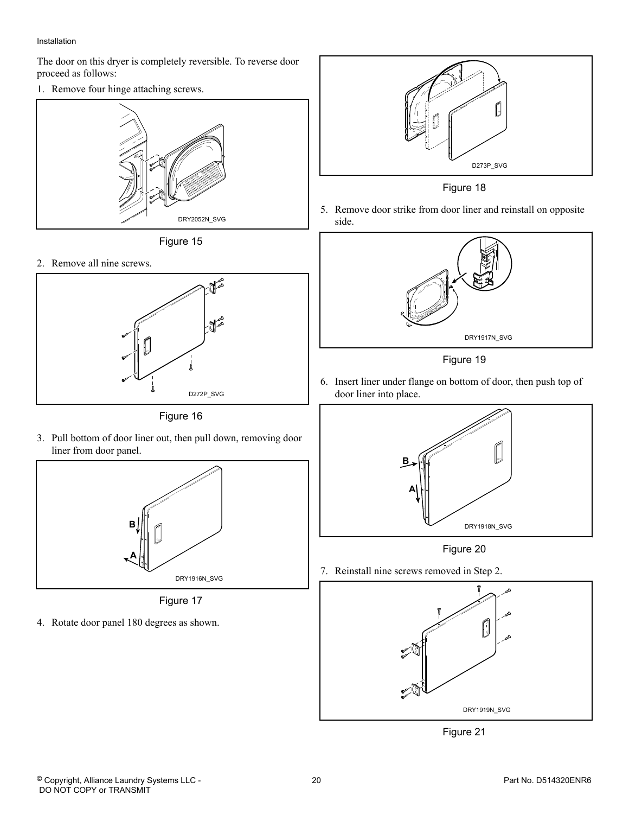#### Installation

The door on this dryer is completely reversible. To reverse door proceed as follows:

1. Remove four hinge attaching screws.



Figure 15

2. Remove all nine screws.



Figure 16

3. Pull bottom of door liner out, then pull down, removing door liner from door panel.



Figure 17

4. Rotate door panel 180 degrees as shown.



Figure 18

5. Remove door strike from door liner and reinstall on opposite side.



Figure 19

6. Insert liner under flange on bottom of door, then push top of door liner into place.



Figure 20

7. Reinstall nine screws removed in Step 2.



Figure 21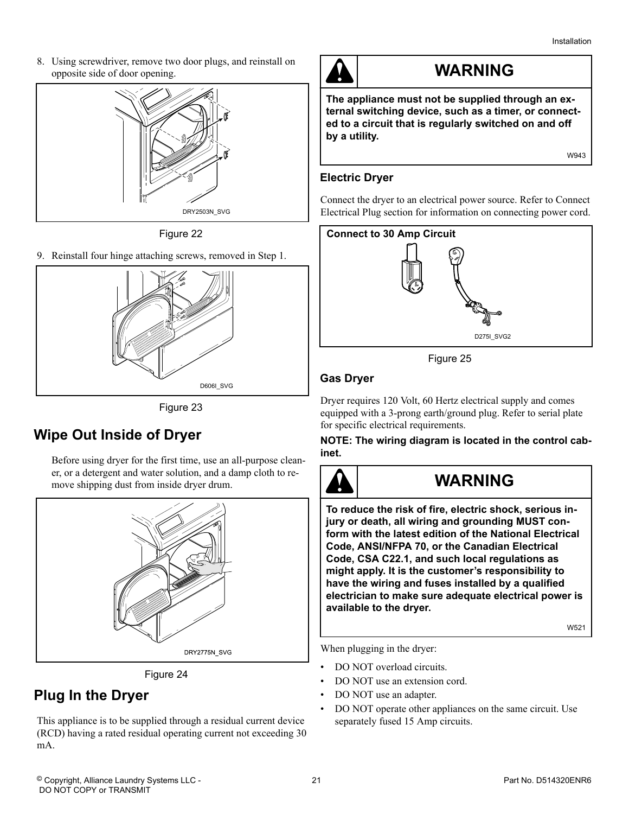<span id="page-20-0"></span>8. Using screwdriver, remove two door plugs, and reinstall on opposite side of door opening.



Figure 22

9. Reinstall four hinge attaching screws, removed in Step 1.



Figure 23

### **Wipe Out Inside of Dryer**

Before using dryer for the first time, use an all-purpose cleaner, or a detergent and water solution, and a damp cloth to remove shipping dust from inside dryer drum.



Figure 24

### **Plug In the Dryer**

This appliance is to be supplied through a residual current device (RCD) having a rated residual operating current not exceeding 30 mA.



### **WARNING**

**The appliance must not be supplied through an external switching device, such as a timer, or connected to a circuit that is regularly switched on and off by a utility.**

W943

#### **Electric Dryer**

Connect the dryer to an electrical power source. Refer to Connect Electrical Plug section for information on connecting power cord.



Figure 25

#### **Gas Dryer**

Dryer requires 120 Volt, 60 Hertz electrical supply and comes equipped with a 3-prong earth/ground plug. Refer to serial plate for specific electrical requirements.

**NOTE: The wiring diagram is located in the control cabinet.**



### **WARNING**

**To reduce the risk of fire, electric shock, serious injury or death, all wiring and grounding MUST conform with the latest edition of the National Electrical Code, ANSI/NFPA 70, or the Canadian Electrical Code, CSA C22.1, and such local regulations as might apply. It is the customer's responsibility to have the wiring and fuses installed by a qualified electrician to make sure adequate electrical power is available to the dryer.**

W521

When plugging in the dryer:

- DO NOT overload circuits.
- DO NOT use an extension cord.
- DO NOT use an adapter.
- DO NOT operate other appliances on the same circuit. Use separately fused 15 Amp circuits.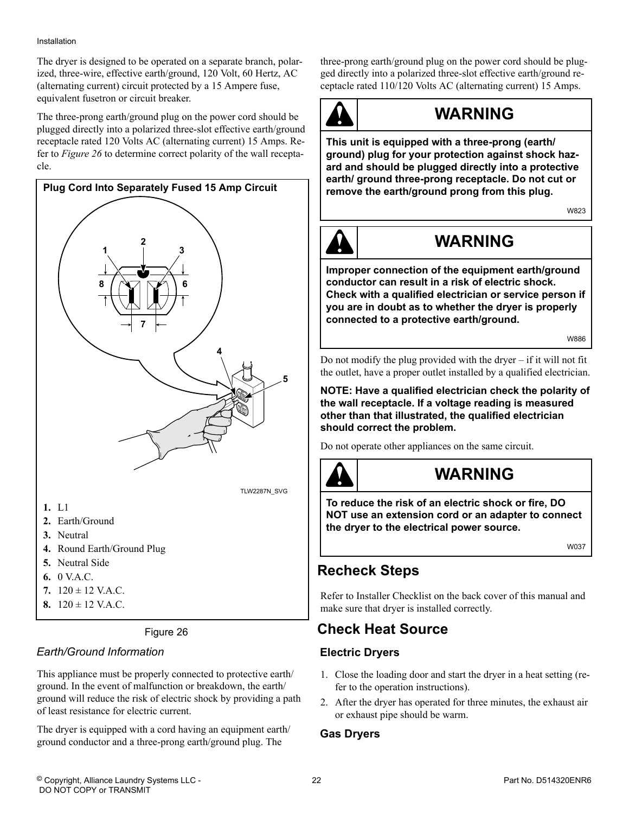#### <span id="page-21-0"></span>Installation

The dryer is designed to be operated on a separate branch, polarized, three-wire, effective earth/ground, 120 Volt, 60 Hertz, AC (alternating current) circuit protected by a 15 Ampere fuse, equivalent fusetron or circuit breaker.

The three-prong earth/ground plug on the power cord should be plugged directly into a polarized three-slot effective earth/ground receptacle rated 120 Volts AC (alternating current) 15 Amps. Refer to *Figure 26* to determine correct polarity of the wall receptacle.



**8.** 120 ± 12 V.A.C.

Figure 26

#### *Earth/Ground Information*

This appliance must be properly connected to protective earth/ ground. In the event of malfunction or breakdown, the earth/ ground will reduce the risk of electric shock by providing a path of least resistance for electric current.

The dryer is equipped with a cord having an equipment earth/ ground conductor and a three-prong earth/ground plug. The

three-prong earth/ground plug on the power cord should be plugged directly into a polarized three-slot effective earth/ground receptacle rated 110/120 Volts AC (alternating current) 15 Amps.



### **WARNING**

**This unit is equipped with a three-prong (earth/ ground) plug for your protection against shock hazard and should be plugged directly into a protective earth/ ground three-prong receptacle. Do not cut or remove the earth/ground prong from this plug.**

W823



### **WARNING**

**Improper connection of the equipment earth/ground conductor can result in a risk of electric shock. Check with a qualified electrician or service person if you are in doubt as to whether the dryer is properly connected to a protective earth/ground.**

W886

Do not modify the plug provided with the dryer – if it will not fit the outlet, have a proper outlet installed by a qualified electrician.

**NOTE: Have a qualified electrician check the polarity of the wall receptacle. If a voltage reading is measured other than that illustrated, the qualified electrician should correct the problem.**

Do not operate other appliances on the same circuit.



### **WARNING**

**To reduce the risk of an electric shock or fire, DO NOT use an extension cord or an adapter to connect the dryer to the electrical power source.**

W037

### **Recheck Steps**

Refer to Installer Checklist on the back cover of this manual and make sure that dryer is installed correctly.

### **Check Heat Source**

#### **Electric Dryers**

- 1. Close the loading door and start the dryer in a heat setting (refer to the operation instructions).
- 2. After the dryer has operated for three minutes, the exhaust air or exhaust pipe should be warm.

#### **Gas Dryers**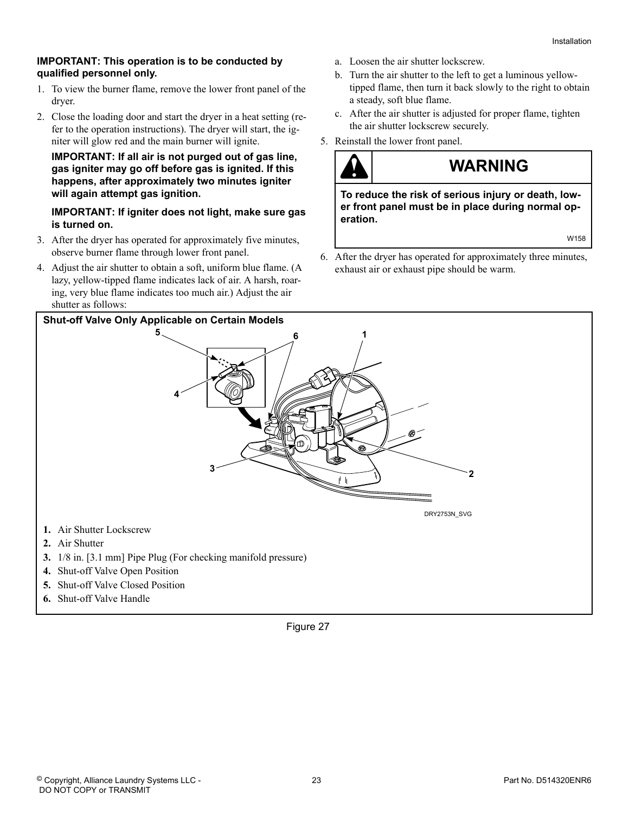#### **IMPORTANT: This operation is to be conducted by qualified personnel only.**

- 1. To view the burner flame, remove the lower front panel of the dryer.
- 2. Close the loading door and start the dryer in a heat setting (refer to the operation instructions). The dryer will start, the igniter will glow red and the main burner will ignite.

#### **IMPORTANT: If all air is not purged out of gas line, gas igniter may go off before gas is ignited. If this happens, after approximately two minutes igniter will again attempt gas ignition.**

#### **IMPORTANT: If igniter does not light, make sure gas is turned on.**

- 3. After the dryer has operated for approximately five minutes, observe burner flame through lower front panel.
- 4. Adjust the air shutter to obtain a soft, uniform blue flame. (A lazy, yellow-tipped flame indicates lack of air. A harsh, roaring, very blue flame indicates too much air.) Adjust the air shutter as follows:
- a. Loosen the air shutter lockscrew.
- b. Turn the air shutter to the left to get a luminous yellowtipped flame, then turn it back slowly to the right to obtain a steady, soft blue flame.
- c. After the air shutter is adjusted for proper flame, tighten the air shutter lockscrew securely.
- 5. Reinstall the lower front panel.

### **WARNING**

**To reduce the risk of serious injury or death, lower front panel must be in place during normal operation.**

W158

6. After the dryer has operated for approximately three minutes, exhaust air or exhaust pipe should be warm.



- 
- **4.** Shut-off Valve Open Position **5.** Shut-off Valve Closed Position
- 
- **6.** Shut-off Valve Handle

Figure 27